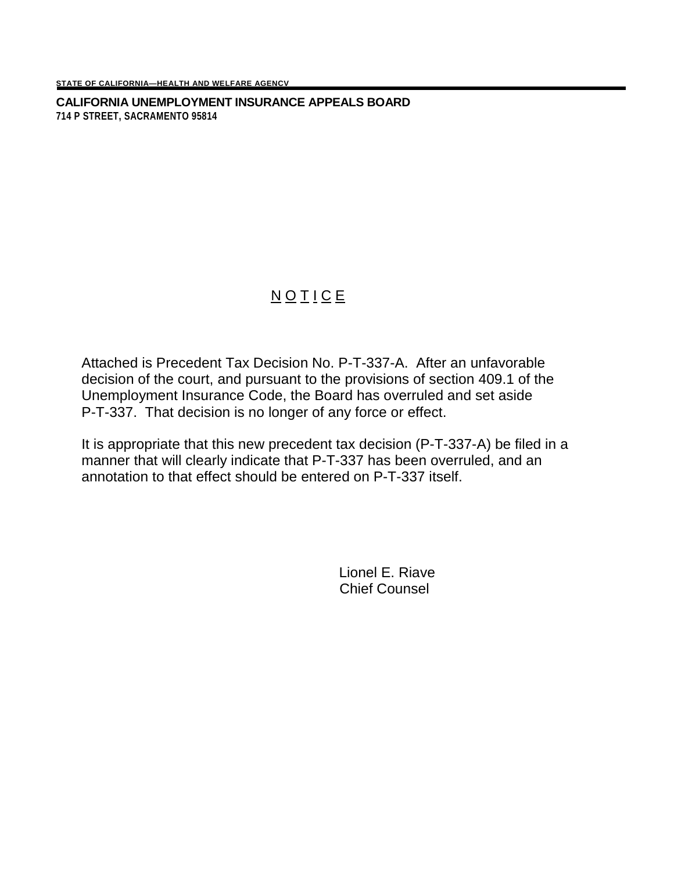**CALIFORNIA UNEMPLOYMENT INSURANCE APPEALS BOARD 714 P STREET, SACRAMENTO 95814**

## NOTICE

Attached is Precedent Tax Decision No. P-T-337-A. After an unfavorable decision of the court, and pursuant to the provisions of section 409.1 of the Unemployment Insurance Code, the Board has overruled and set aside P-T-337. That decision is no longer of any force or effect.

It is appropriate that this new precedent tax decision (P-T-337-A) be filed in a manner that will clearly indicate that P-T-337 has been overruled, and an annotation to that effect should be entered on P-T-337 itself.

> Lionel E. Riave Chief Counsel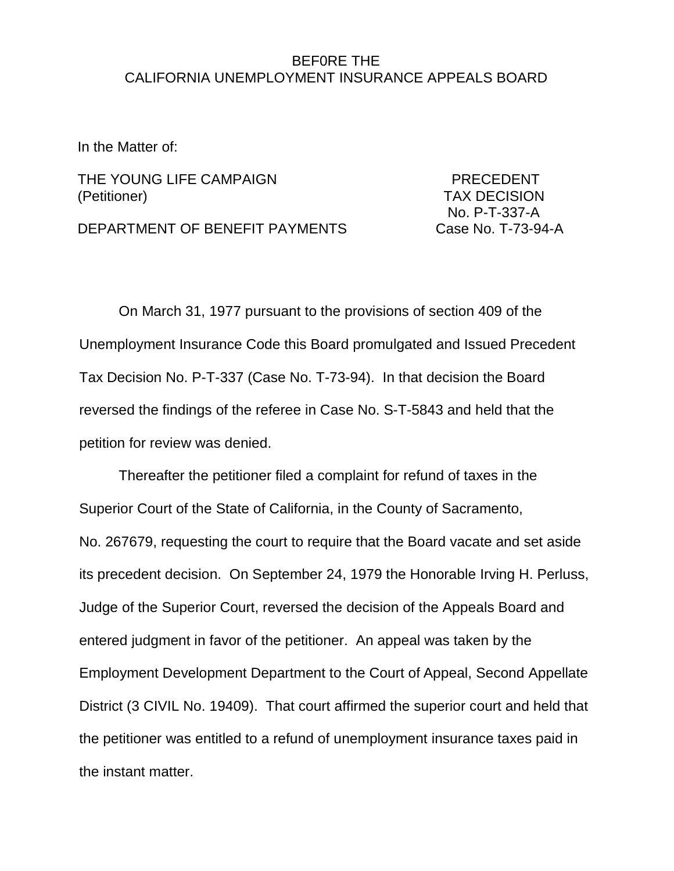## BEF0RE THE CALIFORNIA UNEMPLOYMENT INSURANCE APPEALS BOARD

In the Matter of:

THE YOUNG LIFE CAMPAIGN **EXAMPLE SERVICE SERVICE PRECEDENT** (Petitioner) TAX DECISION

No. P-T-337-A

DEPARTMENT OF BENEFIT PAYMENTS Case No. T-73-94-A

On March 31, 1977 pursuant to the provisions of section 409 of the Unemployment Insurance Code this Board promulgated and Issued Precedent Tax Decision No. P-T-337 (Case No. T-73-94). In that decision the Board reversed the findings of the referee in Case No. S-T-5843 and held that the petition for review was denied.

Thereafter the petitioner filed a complaint for refund of taxes in the Superior Court of the State of California, in the County of Sacramento, No. 267679, requesting the court to require that the Board vacate and set aside its precedent decision. On September 24, 1979 the Honorable Irving H. Perluss, Judge of the Superior Court, reversed the decision of the Appeals Board and entered judgment in favor of the petitioner. An appeal was taken by the Employment Development Department to the Court of Appeal, Second Appellate District (3 CIVIL No. 19409). That court affirmed the superior court and held that the petitioner was entitled to a refund of unemployment insurance taxes paid in the instant matter.